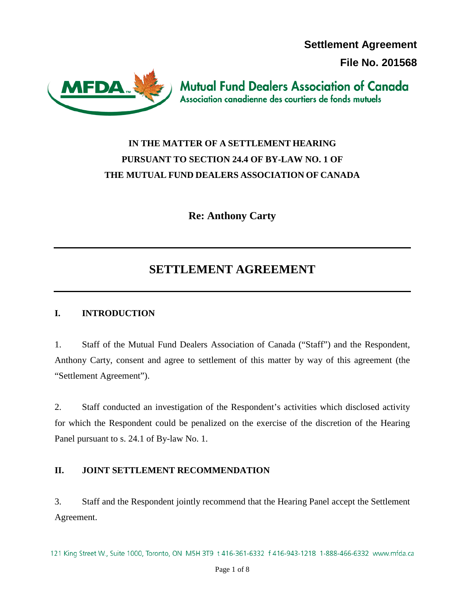**Settlement Agreement** 

**File No. 201568**



**Mutual Fund Dealers Association of Canada** Association canadienne des courtiers de fonds mutuels

# **IN THE MATTER OF A SETTLEMENT HEARING PURSUANT TO SECTION 24.4 OF BY-LAW NO. 1 OF THE MUTUAL FUND DEALERS ASSOCIATION OF CANADA**

**Re: Anthony Carty**

# **SETTLEMENT AGREEMENT**

## **I. INTRODUCTION**

1. Staff of the Mutual Fund Dealers Association of Canada ("Staff") and the Respondent, Anthony Carty, consent and agree to settlement of this matter by way of this agreement (the "Settlement Agreement").

2. Staff conducted an investigation of the Respondent's activities which disclosed activity for which the Respondent could be penalized on the exercise of the discretion of the Hearing Panel pursuant to s. 24.1 of By-law No. 1.

## **II. JOINT SETTLEMENT RECOMMENDATION**

3. Staff and the Respondent jointly recommend that the Hearing Panel accept the Settlement Agreement.

121 King Street W., Suite 1000, Toronto, ON M5H 3T9 t 416-361-6332 f 416-943-1218 1-888-466-6332 www.mfda.ca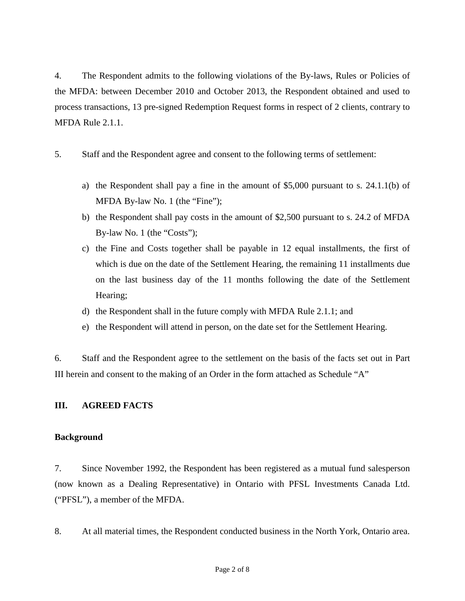4. The Respondent admits to the following violations of the By-laws, Rules or Policies of the MFDA: between December 2010 and October 2013, the Respondent obtained and used to process transactions, 13 pre-signed Redemption Request forms in respect of 2 clients, contrary to MFDA Rule 2.1.1.

- 5. Staff and the Respondent agree and consent to the following terms of settlement:
	- a) the Respondent shall pay a fine in the amount of \$5,000 pursuant to s. 24.1.1(b) of MFDA By-law No. 1 (the "Fine");
	- b) the Respondent shall pay costs in the amount of \$2,500 pursuant to s. 24.2 of MFDA By-law No. 1 (the "Costs");
	- c) the Fine and Costs together shall be payable in 12 equal installments, the first of which is due on the date of the Settlement Hearing, the remaining 11 installments due on the last business day of the 11 months following the date of the Settlement Hearing;
	- d) the Respondent shall in the future comply with MFDA Rule 2.1.1; and
	- e) the Respondent will attend in person, on the date set for the Settlement Hearing.

6. Staff and the Respondent agree to the settlement on the basis of the facts set out in Part III herein and consent to the making of an Order in the form attached as Schedule "A"

### **III. AGREED FACTS**

#### **Background**

7. Since November 1992, the Respondent has been registered as a mutual fund salesperson (now known as a Dealing Representative) in Ontario with PFSL Investments Canada Ltd. ("PFSL"), a member of the MFDA.

8. At all material times, the Respondent conducted business in the North York, Ontario area.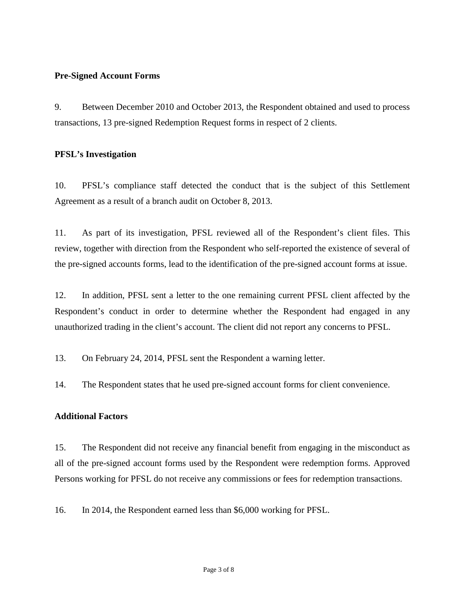#### **Pre-Signed Account Forms**

9. Between December 2010 and October 2013, the Respondent obtained and used to process transactions, 13 pre-signed Redemption Request forms in respect of 2 clients.

#### **PFSL's Investigation**

10. PFSL's compliance staff detected the conduct that is the subject of this Settlement Agreement as a result of a branch audit on October 8, 2013.

11. As part of its investigation, PFSL reviewed all of the Respondent's client files. This review, together with direction from the Respondent who self-reported the existence of several of the pre-signed accounts forms, lead to the identification of the pre-signed account forms at issue.

12. In addition, PFSL sent a letter to the one remaining current PFSL client affected by the Respondent's conduct in order to determine whether the Respondent had engaged in any unauthorized trading in the client's account. The client did not report any concerns to PFSL.

13. On February 24, 2014, PFSL sent the Respondent a warning letter.

14. The Respondent states that he used pre-signed account forms for client convenience.

#### **Additional Factors**

15. The Respondent did not receive any financial benefit from engaging in the misconduct as all of the pre-signed account forms used by the Respondent were redemption forms. Approved Persons working for PFSL do not receive any commissions or fees for redemption transactions.

16. In 2014, the Respondent earned less than \$6,000 working for PFSL.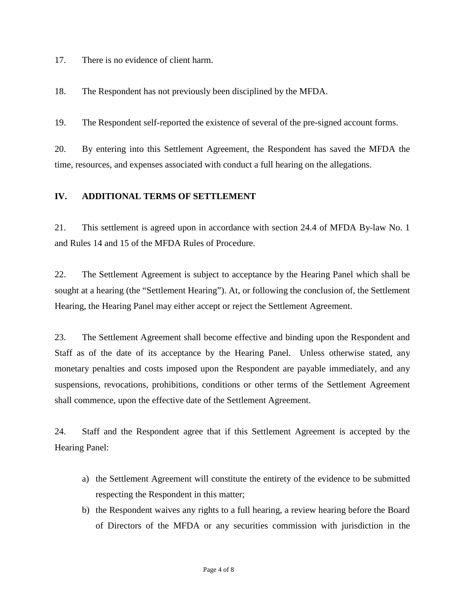17. There is no evidence of client harm.

18. The Respondent has not previously been disciplined by the MFDA.

19. The Respondent self-reported the existence of several of the pre-signed account forms.

20. By entering into this Settlement Agreement, the Respondent has saved the MFDA the time, resources, and expenses associated with conduct a full hearing on the allegations.

#### **IV. ADDITIONAL TERMS OF SETTLEMENT**

21. This settlement is agreed upon in accordance with section 24.4 of MFDA By-law No. 1 and Rules 14 and 15 of the MFDA Rules of Procedure.

22. The Settlement Agreement is subject to acceptance by the Hearing Panel which shall be sought at a hearing (the "Settlement Hearing"). At, or following the conclusion of, the Settlement Hearing, the Hearing Panel may either accept or reject the Settlement Agreement.

23. The Settlement Agreement shall become effective and binding upon the Respondent and Staff as of the date of its acceptance by the Hearing Panel. Unless otherwise stated, any monetary penalties and costs imposed upon the Respondent are payable immediately, and any suspensions, revocations, prohibitions, conditions or other terms of the Settlement Agreement shall commence, upon the effective date of the Settlement Agreement.

24. Staff and the Respondent agree that if this Settlement Agreement is accepted by the Hearing Panel:

- a) the Settlement Agreement will constitute the entirety of the evidence to be submitted respecting the Respondent in this matter;
- b) the Respondent waives any rights to a full hearing, a review hearing before the Board of Directors of the MFDA or any securities commission with jurisdiction in the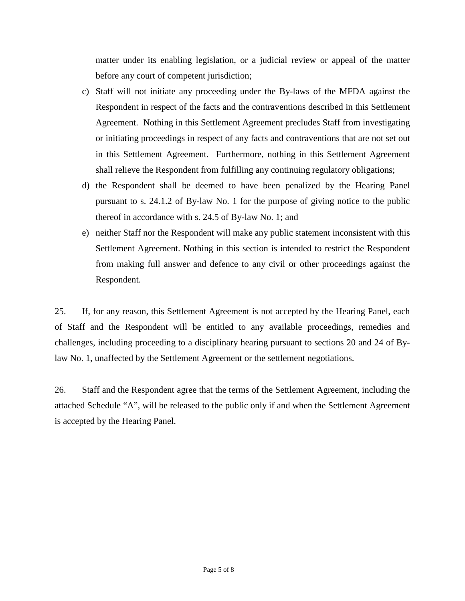matter under its enabling legislation, or a judicial review or appeal of the matter before any court of competent jurisdiction;

- c) Staff will not initiate any proceeding under the By-laws of the MFDA against the Respondent in respect of the facts and the contraventions described in this Settlement Agreement. Nothing in this Settlement Agreement precludes Staff from investigating or initiating proceedings in respect of any facts and contraventions that are not set out in this Settlement Agreement. Furthermore, nothing in this Settlement Agreement shall relieve the Respondent from fulfilling any continuing regulatory obligations;
- d) the Respondent shall be deemed to have been penalized by the Hearing Panel pursuant to s. 24.1.2 of By-law No. 1 for the purpose of giving notice to the public thereof in accordance with s. 24.5 of By-law No. 1; and
- e) neither Staff nor the Respondent will make any public statement inconsistent with this Settlement Agreement. Nothing in this section is intended to restrict the Respondent from making full answer and defence to any civil or other proceedings against the Respondent.

25. If, for any reason, this Settlement Agreement is not accepted by the Hearing Panel, each of Staff and the Respondent will be entitled to any available proceedings, remedies and challenges, including proceeding to a disciplinary hearing pursuant to sections 20 and 24 of Bylaw No. 1, unaffected by the Settlement Agreement or the settlement negotiations.

26. Staff and the Respondent agree that the terms of the Settlement Agreement, including the attached Schedule "A", will be released to the public only if and when the Settlement Agreement is accepted by the Hearing Panel.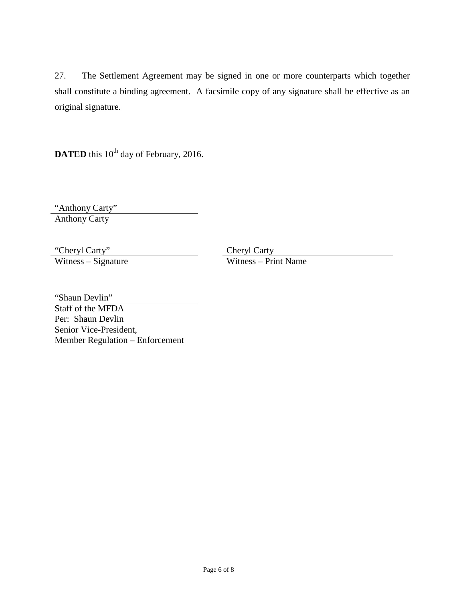27. The Settlement Agreement may be signed in one or more counterparts which together shall constitute a binding agreement. A facsimile copy of any signature shall be effective as an original signature.

**DATED** this 10<sup>th</sup> day of February, 2016.

"Anthony Carty" Anthony Carty

 $Witness - Signature$ 

"Cheryl Carty" Cheryl Carty" Cheryl Carty<br>Witness – Signature Witness – Print Name

"Shaun Devlin"

Staff of the MFDA Per: Shaun Devlin Senior Vice-President, Member Regulation – Enforcement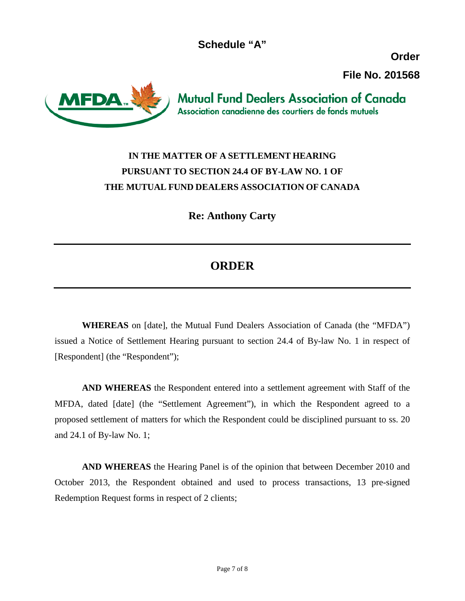**Schedule "A"**

**Order File No. 201568**



**Mutual Fund Dealers Association of Canada** Association canadienne des courtiers de fonds mutuels

## **IN THE MATTER OF A SETTLEMENT HEARING PURSUANT TO SECTION 24.4 OF BY-LAW NO. 1 OF THE MUTUAL FUND DEALERS ASSOCIATION OF CANADA**

**Re: Anthony Carty**

## **ORDER**

**WHEREAS** on [date], the Mutual Fund Dealers Association of Canada (the "MFDA") issued a Notice of Settlement Hearing pursuant to section 24.4 of By-law No. 1 in respect of [Respondent] (the "Respondent");

**AND WHEREAS** the Respondent entered into a settlement agreement with Staff of the MFDA, dated [date] (the "Settlement Agreement"), in which the Respondent agreed to a proposed settlement of matters for which the Respondent could be disciplined pursuant to ss. 20 and 24.1 of By-law No. 1;

**AND WHEREAS** the Hearing Panel is of the opinion that between December 2010 and October 2013, the Respondent obtained and used to process transactions, 13 pre-signed Redemption Request forms in respect of 2 clients;